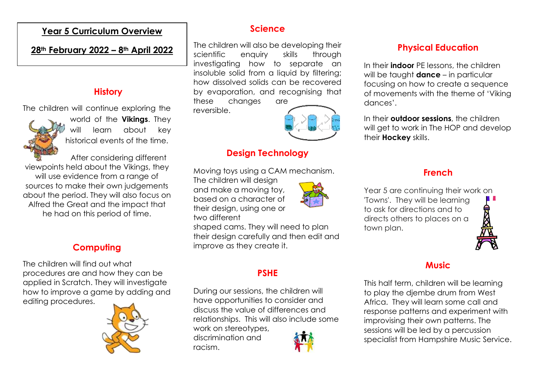### **Year 5 Curriculum Overview**

#### **28th February 2022 – 8th April 2022**

#### **History**

The children will continue exploring the



world of the **Vikings**. They will learn about key historical events of the time.

After considering different viewpoints held about the Vikings, they will use evidence from a range of sources to make their own judgements about the period. They will also focus on Alfred the Great and the impact that he had on this period of time.

### **Computing**

The children will find out what procedures are and how they can be applied in Scratch. They will investigate how to improve a game by adding and editing procedures.



### **Science**

The children will also be developing their scientific enquiry skills through investigating how to separate an insoluble solid from a liquid by filtering: how dissolved solids can be recovered by evaporation, and recognising that these changes are

reversible.



### **Design Technology**

Moving toys using a CAM mechanism.

The children will design and make a moving toy, based on a character of their design, using one or two different



shaped cams. They will need to plan their design carefully and then edit and improve as they create it.

# **PSHE**

During our sessions, the children will have opportunities to consider and discuss the value of differences and relationships. This will also include some

work on stereotypes, discrimination and racism.



# **Physical Education**

In their **indoor** PE lessons, the children will be taught **dance** – in particular focusing on how to create a sequence of movements with the theme of 'Viking dances'.

In their **outdoor sessions**, the children will get to work in The HOP and develop their **Hockey** skills.

# **French**

Year 5 are continuing their work on 'Towns'. They will be learning to ask for directions and to directs others to places on a town plan.



## **Music**

This half term, children will be learning to play the djembe drum from West Africa. They will learn some call and response patterns and experiment with improvising their own patterns. The sessions will be led by a percussion specialist from Hampshire Music Service.